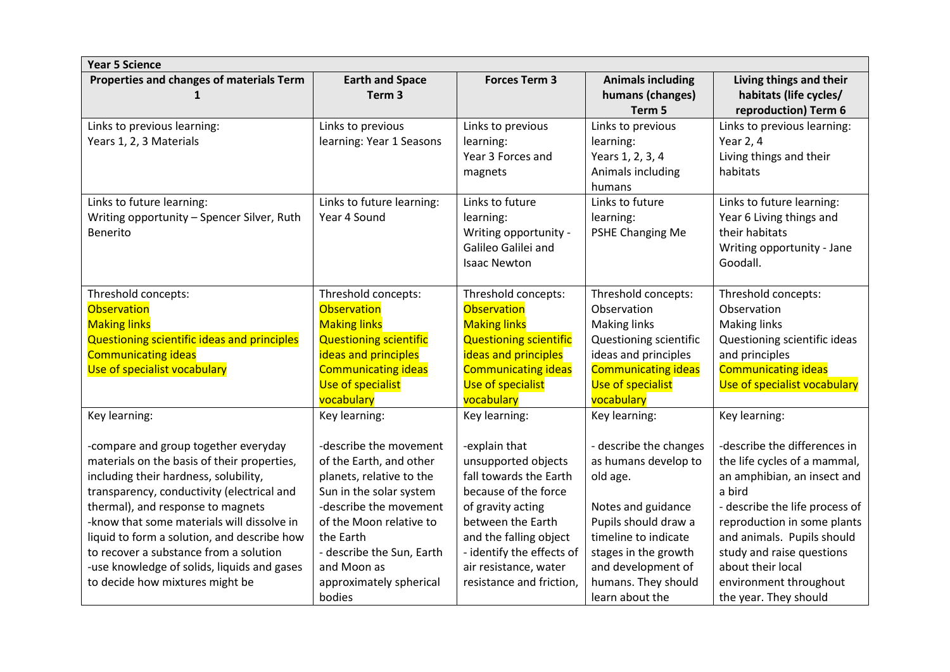| <b>Year 5 Science</b>                                  |                                               |                                |                                                        |                                                                           |  |  |  |
|--------------------------------------------------------|-----------------------------------------------|--------------------------------|--------------------------------------------------------|---------------------------------------------------------------------------|--|--|--|
| Properties and changes of materials Term               | <b>Earth and Space</b><br>Term <sub>3</sub>   | <b>Forces Term 3</b>           | <b>Animals including</b><br>humans (changes)<br>Term 5 | Living things and their<br>habitats (life cycles/<br>reproduction) Term 6 |  |  |  |
| Links to previous learning:<br>Years 1, 2, 3 Materials | Links to previous<br>learning: Year 1 Seasons | Links to previous<br>learning: | Links to previous<br>learning:                         | Links to previous learning:<br>Year 2, 4                                  |  |  |  |
|                                                        |                                               | Year 3 Forces and              | Years 1, 2, 3, 4                                       | Living things and their                                                   |  |  |  |
|                                                        |                                               | magnets                        | Animals including<br>humans                            | habitats                                                                  |  |  |  |
| Links to future learning:                              | Links to future learning:                     | Links to future                | Links to future                                        | Links to future learning:                                                 |  |  |  |
| Writing opportunity - Spencer Silver, Ruth             | Year 4 Sound                                  | learning:                      | learning:                                              | Year 6 Living things and                                                  |  |  |  |
| Benerito                                               |                                               | Writing opportunity -          | PSHE Changing Me                                       | their habitats                                                            |  |  |  |
|                                                        |                                               | Galileo Galilei and            |                                                        | Writing opportunity - Jane                                                |  |  |  |
|                                                        |                                               | <b>Isaac Newton</b>            |                                                        | Goodall.                                                                  |  |  |  |
| Threshold concepts:                                    | Threshold concepts:                           | Threshold concepts:            | Threshold concepts:                                    | Threshold concepts:                                                       |  |  |  |
| <b>Observation</b>                                     | <b>Observation</b>                            | <b>Observation</b>             | Observation                                            | Observation                                                               |  |  |  |
| <b>Making links</b>                                    | <b>Making links</b>                           | <b>Making links</b>            | <b>Making links</b>                                    | <b>Making links</b>                                                       |  |  |  |
| Questioning scientific ideas and principles            | <b>Questioning scientific</b>                 | <b>Questioning scientific</b>  | <b>Questioning scientific</b>                          | Questioning scientific ideas                                              |  |  |  |
| <b>Communicating ideas</b>                             | ideas and principles                          | ideas and principles           | ideas and principles                                   | and principles                                                            |  |  |  |
| Use of specialist vocabulary                           | <b>Communicating ideas</b>                    | <b>Communicating ideas</b>     | <b>Communicating ideas</b>                             | <b>Communicating ideas</b>                                                |  |  |  |
|                                                        | Use of specialist                             | Use of specialist              | <b>Use of specialist</b>                               | Use of specialist vocabulary                                              |  |  |  |
|                                                        | vocabulary                                    | vocabulary                     | vocabulary                                             |                                                                           |  |  |  |
| Key learning:                                          | Key learning:                                 | Key learning:                  | Key learning:                                          | Key learning:                                                             |  |  |  |
| -compare and group together everyday                   | -describe the movement                        | -explain that                  | - describe the changes                                 | -describe the differences in                                              |  |  |  |
| materials on the basis of their properties,            | of the Earth, and other                       | unsupported objects            | as humans develop to                                   | the life cycles of a mammal,                                              |  |  |  |
| including their hardness, solubility,                  | planets, relative to the                      | fall towards the Earth         | old age.                                               | an amphibian, an insect and                                               |  |  |  |
| transparency, conductivity (electrical and             | Sun in the solar system                       | because of the force           |                                                        | a bird                                                                    |  |  |  |
| thermal), and response to magnets                      | -describe the movement                        | of gravity acting              | Notes and guidance                                     | - describe the life process of                                            |  |  |  |
| -know that some materials will dissolve in             | of the Moon relative to                       | between the Earth              | Pupils should draw a                                   | reproduction in some plants                                               |  |  |  |
| liquid to form a solution, and describe how            | the Earth                                     | and the falling object         | timeline to indicate                                   | and animals. Pupils should                                                |  |  |  |
| to recover a substance from a solution                 | - describe the Sun, Earth                     | - identify the effects of      | stages in the growth                                   | study and raise questions                                                 |  |  |  |
| -use knowledge of solids, liquids and gases            | and Moon as                                   | air resistance, water          | and development of                                     | about their local                                                         |  |  |  |
| to decide how mixtures might be                        | approximately spherical                       | resistance and friction,       | humans. They should                                    | environment throughout                                                    |  |  |  |
|                                                        | bodies                                        |                                | learn about the                                        | the year. They should                                                     |  |  |  |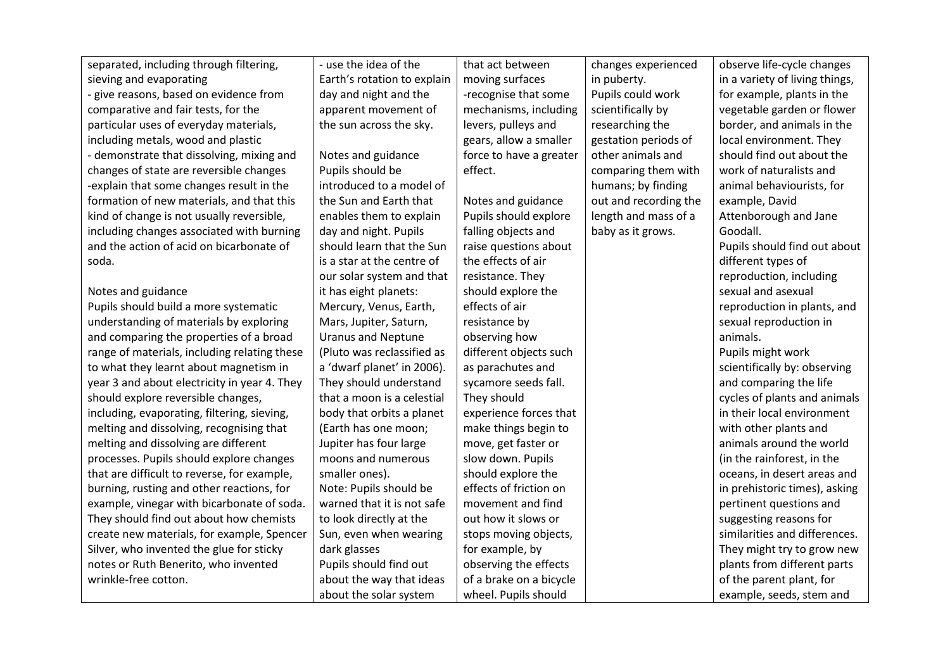| separated, including through filtering,      | - use the idea of the       | that act between        | changes experienced   | observe life-cycle changes     |
|----------------------------------------------|-----------------------------|-------------------------|-----------------------|--------------------------------|
| sieving and evaporating                      | Earth's rotation to explain | moving surfaces         | in puberty.           | in a variety of living things, |
| - give reasons, based on evidence from       | day and night and the       | -recognise that some    | Pupils could work     | for example, plants in the     |
| comparative and fair tests, for the          | apparent movement of        | mechanisms, including   | scientifically by     | vegetable garden or flower     |
| particular uses of everyday materials,       | the sun across the sky.     | levers, pulleys and     | researching the       | border, and animals in the     |
| including metals, wood and plastic           |                             | gears, allow a smaller  | gestation periods of  | local environment. They        |
| - demonstrate that dissolving, mixing and    | Notes and guidance          | force to have a greater | other animals and     | should find out about the      |
| changes of state are reversible changes      | Pupils should be            | effect.                 | comparing them with   | work of naturalists and        |
| -explain that some changes result in the     | introduced to a model of    |                         | humans; by finding    | animal behaviourists, for      |
| formation of new materials, and that this    | the Sun and Earth that      | Notes and guidance      | out and recording the | example, David                 |
| kind of change is not usually reversible,    | enables them to explain     | Pupils should explore   | length and mass of a  | Attenborough and Jane          |
| including changes associated with burning    | day and night. Pupils       | falling objects and     | baby as it grows.     | Goodall.                       |
| and the action of acid on bicarbonate of     | should learn that the Sun   | raise questions about   |                       | Pupils should find out about   |
| soda.                                        | is a star at the centre of  | the effects of air      |                       | different types of             |
|                                              | our solar system and that   | resistance. They        |                       | reproduction, including        |
| Notes and guidance                           | it has eight planets:       | should explore the      |                       | sexual and asexual             |
| Pupils should build a more systematic        | Mercury, Venus, Earth,      | effects of air          |                       | reproduction in plants, and    |
| understanding of materials by exploring      | Mars, Jupiter, Saturn,      | resistance by           |                       | sexual reproduction in         |
| and comparing the properties of a broad      | <b>Uranus and Neptune</b>   | observing how           |                       | animals.                       |
| range of materials, including relating these | (Pluto was reclassified as  | different objects such  |                       | Pupils might work              |
| to what they learnt about magnetism in       | a 'dwarf planet' in 2006).  | as parachutes and       |                       | scientifically by: observing   |
| year 3 and about electricity in year 4. They | They should understand      | sycamore seeds fall.    |                       | and comparing the life         |
| should explore reversible changes,           | that a moon is a celestial  | They should             |                       | cycles of plants and animals   |
| including, evaporating, filtering, sieving,  | body that orbits a planet   | experience forces that  |                       | in their local environment     |
| melting and dissolving, recognising that     | (Earth has one moon;        | make things begin to    |                       | with other plants and          |
| melting and dissolving are different         | Jupiter has four large      | move, get faster or     |                       | animals around the world       |
| processes. Pupils should explore changes     | moons and numerous          | slow down. Pupils       |                       | (in the rainforest, in the     |
| that are difficult to reverse, for example,  | smaller ones).              | should explore the      |                       | oceans, in desert areas and    |
| burning, rusting and other reactions, for    | Note: Pupils should be      | effects of friction on  |                       | in prehistoric times), asking  |
| example, vinegar with bicarbonate of soda.   | warned that it is not safe  | movement and find       |                       | pertinent questions and        |
| They should find out about how chemists      | to look directly at the     | out how it slows or     |                       | suggesting reasons for         |
| create new materials, for example, Spencer   | Sun, even when wearing      | stops moving objects,   |                       | similarities and differences.  |
| Silver, who invented the glue for sticky     | dark glasses                | for example, by         |                       | They might try to grow new     |
| notes or Ruth Benerito, who invented         | Pupils should find out      | observing the effects   |                       | plants from different parts    |
| wrinkle-free cotton.                         | about the way that ideas    | of a brake on a bicycle |                       | of the parent plant, for       |
|                                              | about the solar system      | wheel. Pupils should    |                       | example, seeds, stem and       |

**II**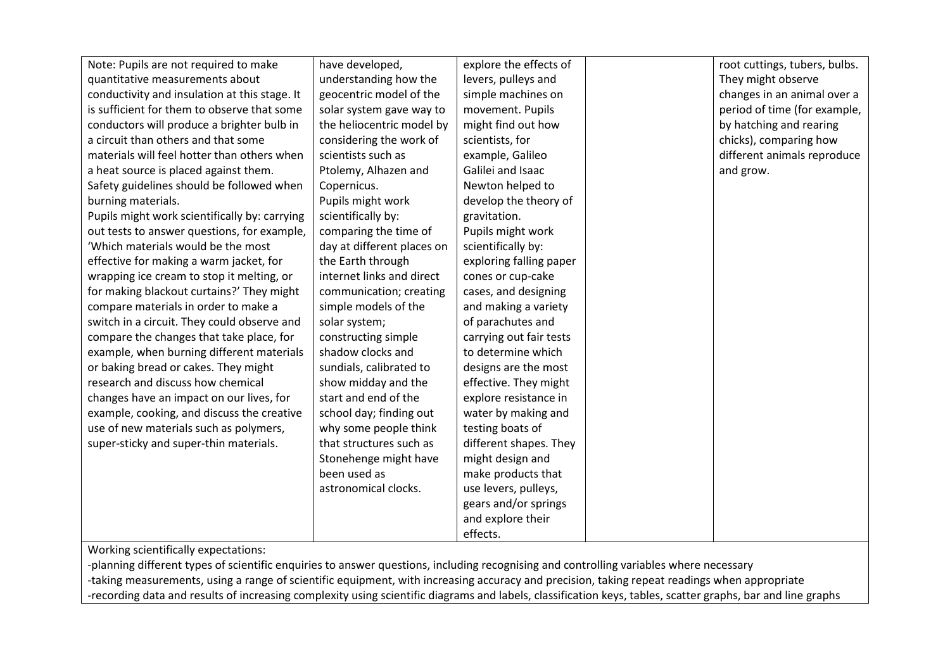| Note: Pupils are not required to make         | have developed,            | explore the effects of  | root cuttings, tubers, bulbs. |
|-----------------------------------------------|----------------------------|-------------------------|-------------------------------|
| quantitative measurements about               | understanding how the      | levers, pulleys and     | They might observe            |
| conductivity and insulation at this stage. It | geocentric model of the    | simple machines on      | changes in an animal over a   |
| is sufficient for them to observe that some   | solar system gave way to   | movement. Pupils        | period of time (for example,  |
| conductors will produce a brighter bulb in    | the heliocentric model by  | might find out how      | by hatching and rearing       |
| a circuit than others and that some           | considering the work of    | scientists, for         | chicks), comparing how        |
| materials will feel hotter than others when   | scientists such as         | example, Galileo        | different animals reproduce   |
| a heat source is placed against them.         | Ptolemy, Alhazen and       | Galilei and Isaac       | and grow.                     |
| Safety guidelines should be followed when     | Copernicus.                | Newton helped to        |                               |
| burning materials.                            | Pupils might work          | develop the theory of   |                               |
| Pupils might work scientifically by: carrying | scientifically by:         | gravitation.            |                               |
| out tests to answer questions, for example,   | comparing the time of      | Pupils might work       |                               |
| 'Which materials would be the most            | day at different places on | scientifically by:      |                               |
| effective for making a warm jacket, for       | the Earth through          | exploring falling paper |                               |
| wrapping ice cream to stop it melting, or     | internet links and direct  | cones or cup-cake       |                               |
| for making blackout curtains?' They might     | communication; creating    | cases, and designing    |                               |
| compare materials in order to make a          | simple models of the       | and making a variety    |                               |
| switch in a circuit. They could observe and   | solar system;              | of parachutes and       |                               |
| compare the changes that take place, for      | constructing simple        | carrying out fair tests |                               |
| example, when burning different materials     | shadow clocks and          | to determine which      |                               |
| or baking bread or cakes. They might          | sundials, calibrated to    | designs are the most    |                               |
| research and discuss how chemical             | show midday and the        | effective. They might   |                               |
| changes have an impact on our lives, for      | start and end of the       | explore resistance in   |                               |
| example, cooking, and discuss the creative    | school day; finding out    | water by making and     |                               |
| use of new materials such as polymers,        | why some people think      | testing boats of        |                               |
| super-sticky and super-thin materials.        | that structures such as    | different shapes. They  |                               |
|                                               | Stonehenge might have      | might design and        |                               |
|                                               | been used as               | make products that      |                               |
|                                               | astronomical clocks.       | use levers, pulleys,    |                               |
|                                               |                            | gears and/or springs    |                               |
|                                               |                            | and explore their       |                               |
|                                               |                            | effects.                |                               |

Working scientifically expectations:

-planning different types of scientific enquiries to answer questions, including recognising and controlling variables where necessary -taking measurements, using a range of scientific equipment, with increasing accuracy and precision, taking repeat readings when appropriate -recording data and results of increasing complexity using scientific diagrams and labels, classification keys, tables, scatter graphs, bar and line graphs